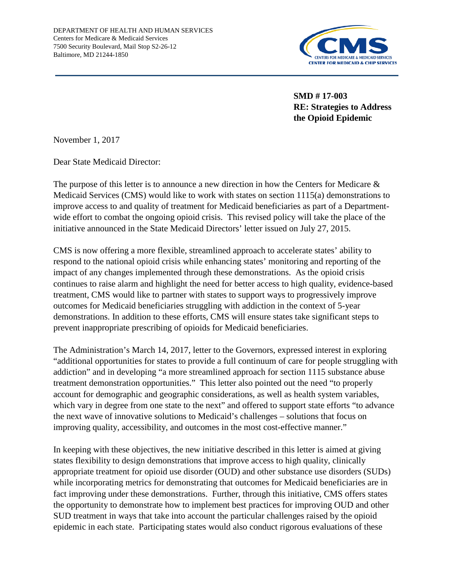

**SMD # 17-003 RE: Strategies to Address the Opioid Epidemic**

November 1, 2017

Dear State Medicaid Director:

The purpose of this letter is to announce a new direction in how the Centers for Medicare & Medicaid Services (CMS) would like to work with states on section 1115(a) demonstrations to improve access to and quality of treatment for Medicaid beneficiaries as part of a Departmentwide effort to combat the ongoing opioid crisis. This revised policy will take the place of the initiative announced in the State Medicaid Directors' letter issued on July 27, 2015.

CMS is now offering a more flexible, streamlined approach to accelerate states' ability to respond to the national opioid crisis while enhancing states' monitoring and reporting of the impact of any changes implemented through these demonstrations. As the opioid crisis continues to raise alarm and highlight the need for better access to high quality, evidence-based treatment, CMS would like to partner with states to support ways to progressively improve outcomes for Medicaid beneficiaries struggling with addiction in the context of 5-year demonstrations. In addition to these efforts, CMS will ensure states take significant steps to prevent inappropriate prescribing of opioids for Medicaid beneficiaries.

The Administration's March 14, 2017, letter to the Governors, expressed interest in exploring "additional opportunities for states to provide a full continuum of care for people struggling with addiction" and in developing "a more streamlined approach for section 1115 substance abuse treatment demonstration opportunities." This letter also pointed out the need "to properly account for demographic and geographic considerations, as well as health system variables, which vary in degree from one state to the next" and offered to support state efforts "to advance" the next wave of innovative solutions to Medicaid's challenges – solutions that focus on improving quality, accessibility, and outcomes in the most cost-effective manner."

In keeping with these objectives, the new initiative described in this letter is aimed at giving states flexibility to design demonstrations that improve access to high quality, clinically appropriate treatment for opioid use disorder (OUD) and other substance use disorders (SUDs) while incorporating metrics for demonstrating that outcomes for Medicaid beneficiaries are in fact improving under these demonstrations. Further, through this initiative, CMS offers states the opportunity to demonstrate how to implement best practices for improving OUD and other SUD treatment in ways that take into account the particular challenges raised by the opioid epidemic in each state. Participating states would also conduct rigorous evaluations of these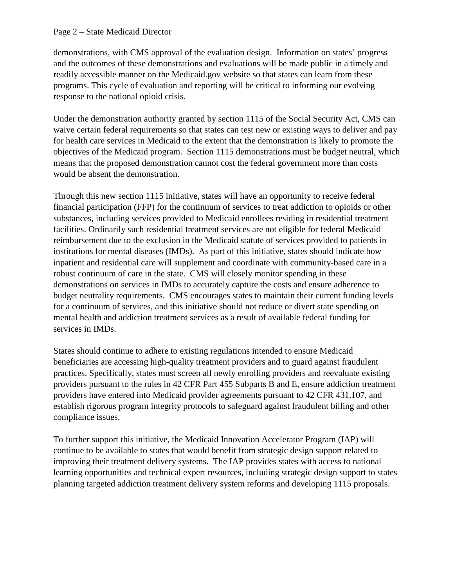#### Page 2 – State Medicaid Director

demonstrations, with CMS approval of the evaluation design. Information on states' progress and the outcomes of these demonstrations and evaluations will be made public in a timely and readily accessible manner on the Medicaid.gov website so that states can learn from these programs. This cycle of evaluation and reporting will be critical to informing our evolving response to the national opioid crisis.

Under the demonstration authority granted by section 1115 of the Social Security Act, CMS can waive certain federal requirements so that states can test new or existing ways to deliver and pay for health care services in Medicaid to the extent that the demonstration is likely to promote the objectives of the Medicaid program. Section 1115 demonstrations must be budget neutral, which means that the proposed demonstration cannot cost the federal government more than costs would be absent the demonstration.

Through this new section 1115 initiative, states will have an opportunity to receive federal financial participation (FFP) for the continuum of services to treat addiction to opioids or other substances, including services provided to Medicaid enrollees residing in residential treatment facilities. Ordinarily such residential treatment services are not eligible for federal Medicaid reimbursement due to the exclusion in the Medicaid statute of services provided to patients in institutions for mental diseases (IMDs). As part of this initiative, states should indicate how inpatient and residential care will supplement and coordinate with community-based care in a robust continuum of care in the state. CMS will closely monitor spending in these demonstrations on services in IMDs to accurately capture the costs and ensure adherence to budget neutrality requirements. CMS encourages states to maintain their current funding levels for a continuum of services, and this initiative should not reduce or divert state spending on mental health and addiction treatment services as a result of available federal funding for services in IMDs.

States should continue to adhere to existing regulations intended to ensure Medicaid beneficiaries are accessing high-quality treatment providers and to guard against fraudulent practices. Specifically, states must screen all newly enrolling providers and reevaluate existing providers pursuant to the rules in 42 CFR Part 455 Subparts B and E, ensure addiction treatment providers have entered into Medicaid provider agreements pursuant to 42 CFR 431.107, and establish rigorous program integrity protocols to safeguard against fraudulent billing and other compliance issues.

To further support this initiative, the Medicaid Innovation Accelerator Program (IAP) will continue to be available to states that would benefit from strategic design support related to improving their treatment delivery systems. The IAP provides states with access to national learning opportunities and technical expert resources, including strategic design support to states planning targeted addiction treatment delivery system reforms and developing 1115 proposals.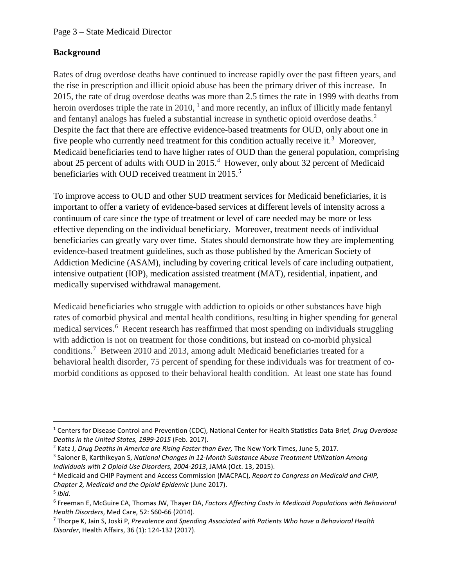## **Background**

Rates of drug overdose deaths have continued to increase rapidly over the past fifteen years, and the rise in prescription and illicit opioid abuse has been the primary driver of this increase. In 2015, the rate of drug overdose deaths was more than 2.5 times the rate in 1999 with deaths from heroin overdoses triple the rate in 20[1](#page-2-0)0,  $\frac{1}{2}$  and more recently, an influx of illicitly made fentanyl and fentanyl analogs has fueled a substantial increase in synthetic opioid overdose deaths. [2](#page-2-1) Despite the fact that there are effective evidence-based treatments for OUD, only about one in five people who currently need treatment for this condition actually receive it.<sup>[3](#page-2-2)</sup> Moreover, Medicaid beneficiaries tend to have higher rates of OUD than the general population, comprising about 25 percent of adults with OUD in 2015. [4](#page-2-3) However, only about 32 percent of Medicaid beneficiaries with OUD received treatment in 201[5](#page-2-4).<sup>5</sup>

To improve access to OUD and other SUD treatment services for Medicaid beneficiaries, it is important to offer a variety of evidence-based services at different levels of intensity across a continuum of care since the type of treatment or level of care needed may be more or less effective depending on the individual beneficiary. Moreover, treatment needs of individual beneficiaries can greatly vary over time. States should demonstrate how they are implementing evidence-based treatment guidelines, such as those published by the American Society of Addiction Medicine (ASAM), including by covering critical levels of care including outpatient, intensive outpatient (IOP), medication assisted treatment (MAT), residential, inpatient, and medically supervised withdrawal management.

Medicaid beneficiaries who struggle with addiction to opioids or other substances have high rates of comorbid physical and mental health conditions, resulting in higher spending for general medical services. [6](#page-2-5) Recent research has reaffirmed that most spending on individuals struggling with addiction is not on treatment for those conditions, but instead on co-morbid physical conditions.[7](#page-2-6) Between 2010 and 2013, among adult Medicaid beneficiaries treated for a behavioral health disorder, 75 percent of spending for these individuals was for treatment of comorbid conditions as opposed to their behavioral health condition. At least one state has found

<span id="page-2-0"></span> <sup>1</sup> Centers for Disease Control and Prevention (CDC), National Center for Health Statistics Data Brief*, Drug Overdose Deaths in the United States, 1999-2015* (Feb. 2017).

<span id="page-2-1"></span><sup>2</sup> Katz J, *Drug Deaths in America are Rising Faster than Ever,* The New York Times, June 5, 2017.

<span id="page-2-2"></span><sup>3</sup> Saloner B, Karthikeyan S, *National Changes in 12-Month Substance Abuse Treatment Utilization Among Individuals with 2 Opioid Use Disorders, 2004-2013*, JAMA (Oct. 13, 2015).

<span id="page-2-3"></span><sup>4</sup> Medicaid and CHIP Payment and Access Commission (MACPAC), *Report to Congress on Medicaid and CHIP, Chapter 2, Medicaid and the Opioid Epidemic* (June 2017). 5 *Ibid.*

<span id="page-2-5"></span><span id="page-2-4"></span><sup>6</sup> Freeman E, McGuire CA, Thomas JW, Thayer DA, *Factors Affecting Costs in Medicaid Populations with Behavioral Health Disorders*, Med Care, 52: S60-66 (2014).

<span id="page-2-6"></span><sup>7</sup> Thorpe K, Jain S, Joski P, *Prevalence and Spending Associated with Patients Who have a Behavioral Health Disorder*, Health Affairs, 36 (1): 124-132 (2017).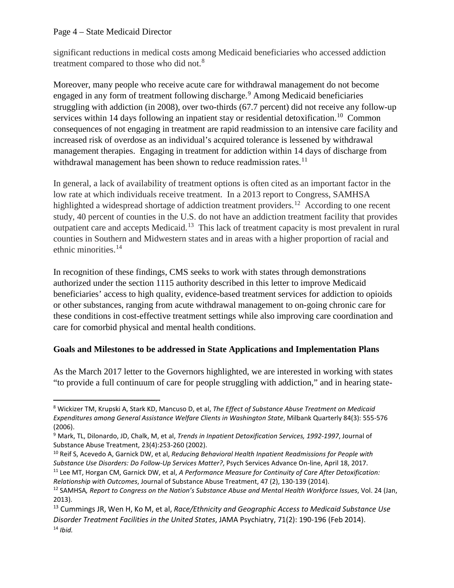#### Page 4 – State Medicaid Director

significant reductions in medical costs among Medicaid beneficiaries who accessed addiction treatment compared to those who did not.<sup>[8](#page-3-0)</sup>

Moreover, many people who receive acute care for withdrawal management do not become engaged in any form of treatment following discharge. [9](#page-3-1) Among Medicaid beneficiaries struggling with addiction (in 2008), over two-thirds (67.7 percent) did not receive any follow-up services within 14 days following an inpatient stay or residential detoxification.<sup>[10](#page-3-2)</sup> Common consequences of not engaging in treatment are rapid readmission to an intensive care facility and increased risk of overdose as an individual's acquired tolerance is lessened by withdrawal management therapies. Engaging in treatment for addiction within 14 days of discharge from withdrawal management has been shown to reduce readmission rates.<sup>[11](#page-3-3)</sup>

In general, a lack of availability of treatment options is often cited as an important factor in the low rate at which individuals receive treatment. In a 2013 report to Congress, SAMHSA highlighted a widespread shortage of addiction treatment providers.<sup>[12](#page-3-4)</sup> According to one recent study, 40 percent of counties in the U.S. do not have an addiction treatment facility that provides outpatient care and accepts Medicaid.<sup>13</sup> This lack of treatment capacity is most prevalent in rural counties in Southern and Midwestern states and in areas with a higher proportion of racial and ethnic minorities.[14](#page-3-6)

In recognition of these findings, CMS seeks to work with states through demonstrations authorized under the section 1115 authority described in this letter to improve Medicaid beneficiaries' access to high quality, evidence-based treatment services for addiction to opioids or other substances, ranging from acute withdrawal management to on-going chronic care for these conditions in cost-effective treatment settings while also improving care coordination and care for comorbid physical and mental health conditions.

## **Goals and Milestones to be addressed in State Applications and Implementation Plans**

As the March 2017 letter to the Governors highlighted, we are interested in working with states "to provide a full continuum of care for people struggling with addiction," and in hearing state-

<span id="page-3-0"></span> <sup>8</sup> Wickizer TM, Krupski A, Stark KD, Mancuso D, et al, *The Effect of Substance Abuse Treatment on Medicaid Expenditures among General Assistance Welfare Clients in Washington State*, Milbank Quarterly 84(3): 555-576 (2006).

<span id="page-3-1"></span><sup>9</sup> Mark, TL, Dilonardo, JD, Chalk, M, et al, *Trends in Inpatient Detoxification Services, 1992-1997*, Journal of Substance Abuse Treatment, 23(4):253-260 (2002).<br><sup>10</sup> Reif S, Acevedo A, Garnick DW, et al, *Reducing Behavioral Health Inpatient Readmissions for People with* 

<span id="page-3-2"></span>*Substance Use Disorders: Do Follow-Up Services Matter?*, Psych Services Advance On-line, April 18, 2017.

<span id="page-3-3"></span><sup>11</sup> Lee MT, Horgan CM, Garnick DW, et al, *A Performance Measure for Continuity of Care After Detoxification: Relationship with Outcomes*, Journal of Substance Abuse Treatment, 47 (2), 130-139 (2014).

<span id="page-3-4"></span><sup>12</sup> SAMHSA*, Report to Congress on the Nation's Substance Abuse and Mental Health Workforce Issues*, Vol. 24 (Jan, 2013).

<span id="page-3-6"></span><span id="page-3-5"></span><sup>13</sup> Cummings JR, Wen H, Ko M, et al, *Race/Ethnicity and Geographic Access to Medicaid Substance Use Disorder Treatment Facilities in the United States*, JAMA Psychiatry, 71(2): 190-196 (Feb 2014). <sup>14</sup> *Ibid.*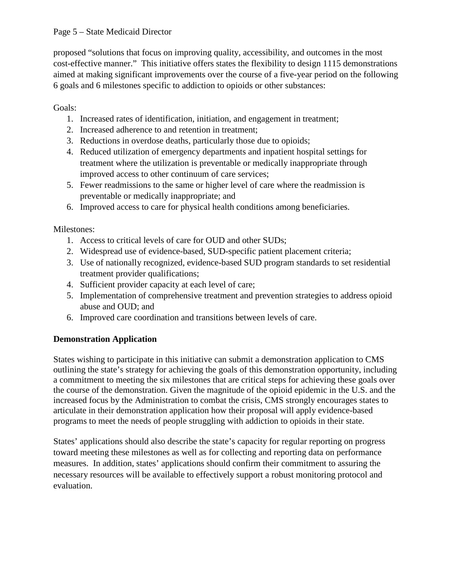proposed "solutions that focus on improving quality, accessibility, and outcomes in the most cost-effective manner." This initiative offers states the flexibility to design 1115 demonstrations aimed at making significant improvements over the course of a five-year period on the following 6 goals and 6 milestones specific to addiction to opioids or other substances:

# Goals:

- 1. Increased rates of identification, initiation, and engagement in treatment;
- 2. Increased adherence to and retention in treatment;
- 3. Reductions in overdose deaths, particularly those due to opioids;
- 4. Reduced utilization of emergency departments and inpatient hospital settings for treatment where the utilization is preventable or medically inappropriate through improved access to other continuum of care services;
- 5. Fewer readmissions to the same or higher level of care where the readmission is preventable or medically inappropriate; and
- 6. Improved access to care for physical health conditions among beneficiaries.

# Milestones:

- 1. Access to critical levels of care for OUD and other SUDs;
- 2. Widespread use of evidence-based, SUD-specific patient placement criteria;
- 3. Use of nationally recognized, evidence-based SUD program standards to set residential treatment provider qualifications;
- 4. Sufficient provider capacity at each level of care;
- 5. Implementation of comprehensive treatment and prevention strategies to address opioid abuse and OUD; and
- 6. Improved care coordination and transitions between levels of care.

# **Demonstration Application**

States wishing to participate in this initiative can submit a demonstration application to CMS outlining the state's strategy for achieving the goals of this demonstration opportunity, including a commitment to meeting the six milestones that are critical steps for achieving these goals over the course of the demonstration. Given the magnitude of the opioid epidemic in the U.S. and the increased focus by the Administration to combat the crisis, CMS strongly encourages states to articulate in their demonstration application how their proposal will apply evidence-based programs to meet the needs of people struggling with addiction to opioids in their state.

States' applications should also describe the state's capacity for regular reporting on progress toward meeting these milestones as well as for collecting and reporting data on performance measures. In addition, states' applications should confirm their commitment to assuring the necessary resources will be available to effectively support a robust monitoring protocol and evaluation.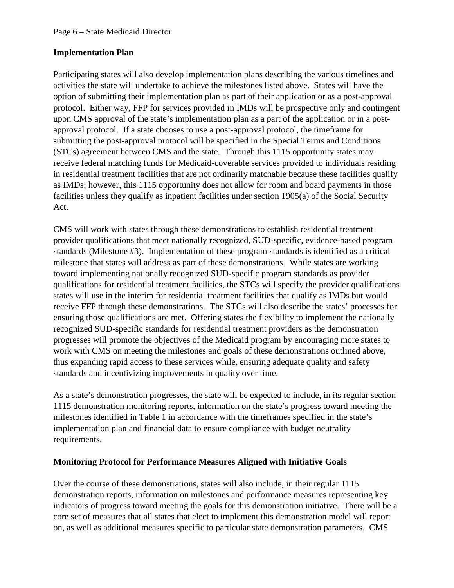### **Implementation Plan**

Participating states will also develop implementation plans describing the various timelines and activities the state will undertake to achieve the milestones listed above. States will have the option of submitting their implementation plan as part of their application or as a post-approval protocol. Either way, FFP for services provided in IMDs will be prospective only and contingent upon CMS approval of the state's implementation plan as a part of the application or in a postapproval protocol. If a state chooses to use a post-approval protocol, the timeframe for submitting the post-approval protocol will be specified in the Special Terms and Conditions (STCs) agreement between CMS and the state. Through this 1115 opportunity states may receive federal matching funds for Medicaid-coverable services provided to individuals residing in residential treatment facilities that are not ordinarily matchable because these facilities qualify as IMDs; however, this 1115 opportunity does not allow for room and board payments in those facilities unless they qualify as inpatient facilities under section 1905(a) of the Social Security Act.

CMS will work with states through these demonstrations to establish residential treatment provider qualifications that meet nationally recognized, SUD-specific, evidence-based program standards (Milestone #3). Implementation of these program standards is identified as a critical milestone that states will address as part of these demonstrations. While states are working toward implementing nationally recognized SUD-specific program standards as provider qualifications for residential treatment facilities, the STCs will specify the provider qualifications states will use in the interim for residential treatment facilities that qualify as IMDs but would receive FFP through these demonstrations. The STCs will also describe the states' processes for ensuring those qualifications are met. Offering states the flexibility to implement the nationally recognized SUD-specific standards for residential treatment providers as the demonstration progresses will promote the objectives of the Medicaid program by encouraging more states to work with CMS on meeting the milestones and goals of these demonstrations outlined above, thus expanding rapid access to these services while, ensuring adequate quality and safety standards and incentivizing improvements in quality over time.

As a state's demonstration progresses, the state will be expected to include, in its regular section 1115 demonstration monitoring reports, information on the state's progress toward meeting the milestones identified in Table 1 in accordance with the timeframes specified in the state's implementation plan and financial data to ensure compliance with budget neutrality requirements.

## **Monitoring Protocol for Performance Measures Aligned with Initiative Goals**

Over the course of these demonstrations, states will also include, in their regular 1115 demonstration reports, information on milestones and performance measures representing key indicators of progress toward meeting the goals for this demonstration initiative. There will be a core set of measures that all states that elect to implement this demonstration model will report on, as well as additional measures specific to particular state demonstration parameters. CMS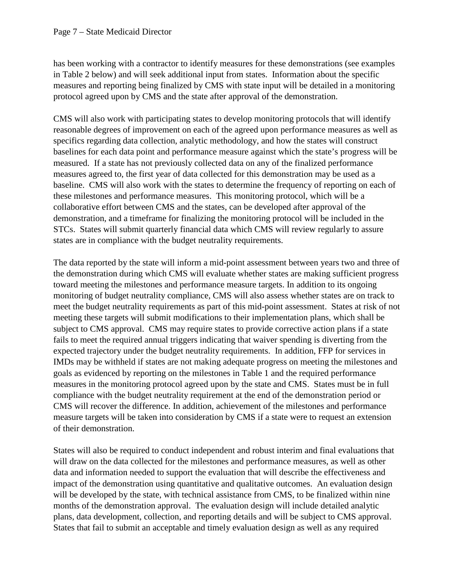has been working with a contractor to identify measures for these demonstrations (see examples in Table 2 below) and will seek additional input from states. Information about the specific measures and reporting being finalized by CMS with state input will be detailed in a monitoring protocol agreed upon by CMS and the state after approval of the demonstration.

CMS will also work with participating states to develop monitoring protocols that will identify reasonable degrees of improvement on each of the agreed upon performance measures as well as specifics regarding data collection, analytic methodology, and how the states will construct baselines for each data point and performance measure against which the state's progress will be measured. If a state has not previously collected data on any of the finalized performance measures agreed to, the first year of data collected for this demonstration may be used as a baseline. CMS will also work with the states to determine the frequency of reporting on each of these milestones and performance measures. This monitoring protocol, which will be a collaborative effort between CMS and the states, can be developed after approval of the demonstration, and a timeframe for finalizing the monitoring protocol will be included in the STCs. States will submit quarterly financial data which CMS will review regularly to assure states are in compliance with the budget neutrality requirements.

The data reported by the state will inform a mid-point assessment between years two and three of the demonstration during which CMS will evaluate whether states are making sufficient progress toward meeting the milestones and performance measure targets. In addition to its ongoing monitoring of budget neutrality compliance, CMS will also assess whether states are on track to meet the budget neutrality requirements as part of this mid-point assessment. States at risk of not meeting these targets will submit modifications to their implementation plans, which shall be subject to CMS approval. CMS may require states to provide corrective action plans if a state fails to meet the required annual triggers indicating that waiver spending is diverting from the expected trajectory under the budget neutrality requirements. In addition, FFP for services in IMDs may be withheld if states are not making adequate progress on meeting the milestones and goals as evidenced by reporting on the milestones in Table 1 and the required performance measures in the monitoring protocol agreed upon by the state and CMS. States must be in full compliance with the budget neutrality requirement at the end of the demonstration period or CMS will recover the difference. In addition, achievement of the milestones and performance measure targets will be taken into consideration by CMS if a state were to request an extension of their demonstration.

States will also be required to conduct independent and robust interim and final evaluations that will draw on the data collected for the milestones and performance measures, as well as other data and information needed to support the evaluation that will describe the effectiveness and impact of the demonstration using quantitative and qualitative outcomes. An evaluation design will be developed by the state, with technical assistance from CMS, to be finalized within nine months of the demonstration approval. The evaluation design will include detailed analytic plans, data development, collection, and reporting details and will be subject to CMS approval. States that fail to submit an acceptable and timely evaluation design as well as any required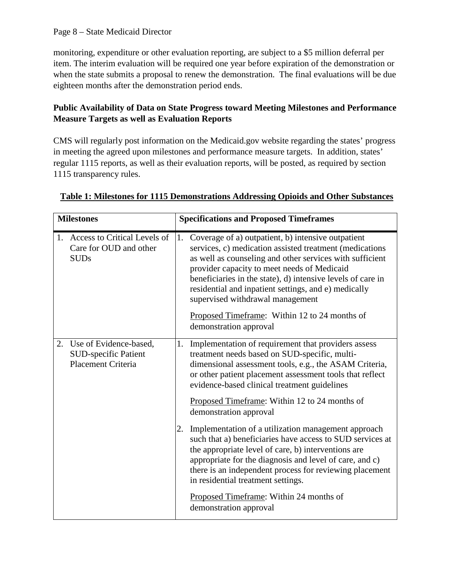#### Page 8 – State Medicaid Director

monitoring, expenditure or other evaluation reporting, are subject to a \$5 million deferral per item. The interim evaluation will be required one year before expiration of the demonstration or when the state submits a proposal to renew the demonstration. The final evaluations will be due eighteen months after the demonstration period ends.

## **Public Availability of Data on State Progress toward Meeting Milestones and Performance Measure Targets as well as Evaluation Reports**

CMS will regularly post information on the Medicaid.gov website regarding the states' progress in meeting the agreed upon milestones and performance measure targets. In addition, states' regular 1115 reports, as well as their evaluation reports, will be posted, as required by section 1115 transparency rules.

| <b>Milestones</b> |                                                                             | <b>Specifications and Proposed Timeframes</b> |                                                                                                                                                                                                                                                                                                                                                                                                                                                                |
|-------------------|-----------------------------------------------------------------------------|-----------------------------------------------|----------------------------------------------------------------------------------------------------------------------------------------------------------------------------------------------------------------------------------------------------------------------------------------------------------------------------------------------------------------------------------------------------------------------------------------------------------------|
|                   | 1. Access to Critical Levels of<br>Care for OUD and other<br><b>SUDs</b>    | 1.                                            | Coverage of a) outpatient, b) intensive outpatient<br>services, c) medication assisted treatment (medications<br>as well as counseling and other services with sufficient<br>provider capacity to meet needs of Medicaid<br>beneficiaries in the state), d) intensive levels of care in<br>residential and inpatient settings, and e) medically<br>supervised withdrawal management<br>Proposed Timeframe: Within 12 to 24 months of<br>demonstration approval |
| 2.                | Use of Evidence-based,<br><b>SUD-specific Patient</b><br>Placement Criteria | 1.                                            | Implementation of requirement that providers assess<br>treatment needs based on SUD-specific, multi-<br>dimensional assessment tools, e.g., the ASAM Criteria,<br>or other patient placement assessment tools that reflect<br>evidence-based clinical treatment guidelines<br>Proposed Timeframe: Within 12 to 24 months of<br>demonstration approval                                                                                                          |
|                   |                                                                             | 2.                                            | Implementation of a utilization management approach<br>such that a) beneficiaries have access to SUD services at<br>the appropriate level of care, b) interventions are<br>appropriate for the diagnosis and level of care, and c)<br>there is an independent process for reviewing placement<br>in residential treatment settings.<br>Proposed Timeframe: Within 24 months of<br>demonstration approval                                                       |

#### **Table 1: Milestones for 1115 Demonstrations Addressing Opioids and Other Substances**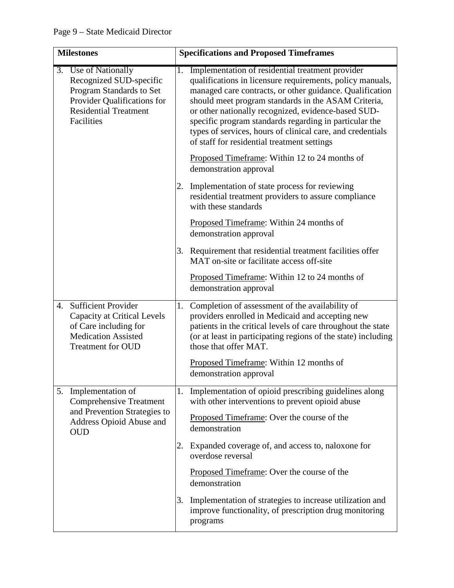| <b>Milestones</b> |                                                                                                                                                          |    | <b>Specifications and Proposed Timeframes</b>                                                                                                                                                                                                                                                                                                                                                                                                                  |
|-------------------|----------------------------------------------------------------------------------------------------------------------------------------------------------|----|----------------------------------------------------------------------------------------------------------------------------------------------------------------------------------------------------------------------------------------------------------------------------------------------------------------------------------------------------------------------------------------------------------------------------------------------------------------|
|                   | 3. Use of Nationally<br>Recognized SUD-specific<br>Program Standards to Set<br>Provider Qualifications for<br><b>Residential Treatment</b><br>Facilities | 1. | Implementation of residential treatment provider<br>qualifications in licensure requirements, policy manuals,<br>managed care contracts, or other guidance. Qualification<br>should meet program standards in the ASAM Criteria,<br>or other nationally recognized, evidence-based SUD-<br>specific program standards regarding in particular the<br>types of services, hours of clinical care, and credentials<br>of staff for residential treatment settings |
|                   |                                                                                                                                                          |    | Proposed Timeframe: Within 12 to 24 months of<br>demonstration approval                                                                                                                                                                                                                                                                                                                                                                                        |
|                   |                                                                                                                                                          | 2. | Implementation of state process for reviewing<br>residential treatment providers to assure compliance<br>with these standards                                                                                                                                                                                                                                                                                                                                  |
|                   |                                                                                                                                                          |    | Proposed Timeframe: Within 24 months of<br>demonstration approval                                                                                                                                                                                                                                                                                                                                                                                              |
|                   |                                                                                                                                                          |    | 3. Requirement that residential treatment facilities offer<br>MAT on-site or facilitate access off-site                                                                                                                                                                                                                                                                                                                                                        |
|                   |                                                                                                                                                          |    | Proposed Timeframe: Within 12 to 24 months of<br>demonstration approval                                                                                                                                                                                                                                                                                                                                                                                        |
| 4.                | <b>Sufficient Provider</b><br><b>Capacity at Critical Levels</b><br>of Care including for<br><b>Medication Assisted</b><br><b>Treatment for OUD</b>      | 1. | Completion of assessment of the availability of<br>providers enrolled in Medicaid and accepting new<br>patients in the critical levels of care throughout the state<br>(or at least in participating regions of the state) including<br>those that offer MAT.                                                                                                                                                                                                  |
|                   |                                                                                                                                                          |    | Proposed Timeframe: Within 12 months of<br>demonstration approval                                                                                                                                                                                                                                                                                                                                                                                              |
|                   | 5. Implementation of<br><b>Comprehensive Treatment</b>                                                                                                   |    | 1. Implementation of opioid prescribing guidelines along<br>with other interventions to prevent opioid abuse                                                                                                                                                                                                                                                                                                                                                   |
|                   | and Prevention Strategies to<br>Address Opioid Abuse and<br><b>OUD</b>                                                                                   |    | Proposed Timeframe: Over the course of the<br>demonstration                                                                                                                                                                                                                                                                                                                                                                                                    |
|                   |                                                                                                                                                          | 2. | Expanded coverage of, and access to, naloxone for<br>overdose reversal                                                                                                                                                                                                                                                                                                                                                                                         |
|                   |                                                                                                                                                          |    | Proposed Timeframe: Over the course of the<br>demonstration                                                                                                                                                                                                                                                                                                                                                                                                    |
|                   |                                                                                                                                                          | 3. | Implementation of strategies to increase utilization and<br>improve functionality, of prescription drug monitoring<br>programs                                                                                                                                                                                                                                                                                                                                 |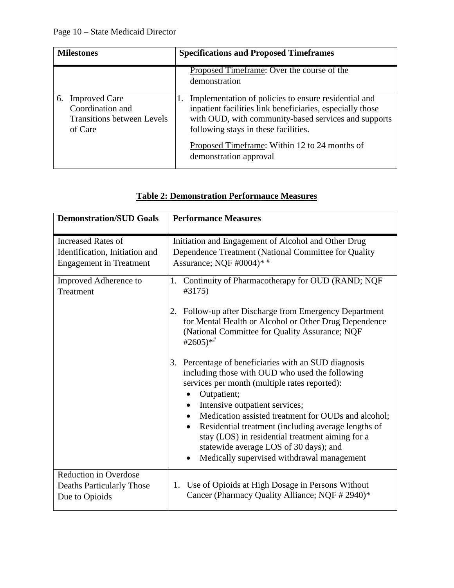| <b>Milestones</b>                                                                              | <b>Specifications and Proposed Timeframes</b>                                                                                                                                                                                                                                                |  |
|------------------------------------------------------------------------------------------------|----------------------------------------------------------------------------------------------------------------------------------------------------------------------------------------------------------------------------------------------------------------------------------------------|--|
|                                                                                                | Proposed Timeframe: Over the course of the<br>demonstration                                                                                                                                                                                                                                  |  |
| <b>Improved Care</b><br>6.<br>Coordination and<br><b>Transitions between Levels</b><br>of Care | Implementation of policies to ensure residential and<br>inpatient facilities link beneficiaries, especially those<br>with OUD, with community-based services and supports<br>following stays in these facilities.<br>Proposed Timeframe: Within 12 to 24 months of<br>demonstration approval |  |

| <b>Demonstration/SUD Goals</b>                                                                | <b>Performance Measures</b>                                                                                                                                                                                                                                                                                                                                                                                                                                                                                                                                                                                                                                                                                                                                                            |
|-----------------------------------------------------------------------------------------------|----------------------------------------------------------------------------------------------------------------------------------------------------------------------------------------------------------------------------------------------------------------------------------------------------------------------------------------------------------------------------------------------------------------------------------------------------------------------------------------------------------------------------------------------------------------------------------------------------------------------------------------------------------------------------------------------------------------------------------------------------------------------------------------|
| <b>Increased Rates of</b><br>Identification, Initiation and<br><b>Engagement</b> in Treatment | Initiation and Engagement of Alcohol and Other Drug<br>Dependence Treatment (National Committee for Quality<br>Assurance; NQF $\#0004$ <sup>*</sup>                                                                                                                                                                                                                                                                                                                                                                                                                                                                                                                                                                                                                                    |
| Improved Adherence to<br>Treatment                                                            | Continuity of Pharmacotherapy for OUD (RAND; NQF<br>1.<br>#3175)<br>Follow-up after Discharge from Emergency Department<br>2.<br>for Mental Health or Alcohol or Other Drug Dependence<br>(National Committee for Quality Assurance; NQF<br>#2605)* <sup>#</sup><br>Percentage of beneficiaries with an SUD diagnosis<br>3.<br>including those with OUD who used the following<br>services per month (multiple rates reported):<br>Outpatient;<br>٠<br>Intensive outpatient services;<br>$\bullet$<br>Medication assisted treatment for OUDs and alcohol;<br>$\bullet$<br>Residential treatment (including average lengths of<br>$\bullet$<br>stay (LOS) in residential treatment aiming for a<br>statewide average LOS of 30 days); and<br>Medically supervised withdrawal management |
| <b>Reduction in Overdose</b><br><b>Deaths Particularly Those</b><br>Due to Opioids            | 1. Use of Opioids at High Dosage in Persons Without<br>Cancer (Pharmacy Quality Alliance; NQF # 2940)*                                                                                                                                                                                                                                                                                                                                                                                                                                                                                                                                                                                                                                                                                 |

# **Table 2: Demonstration Performance Measures**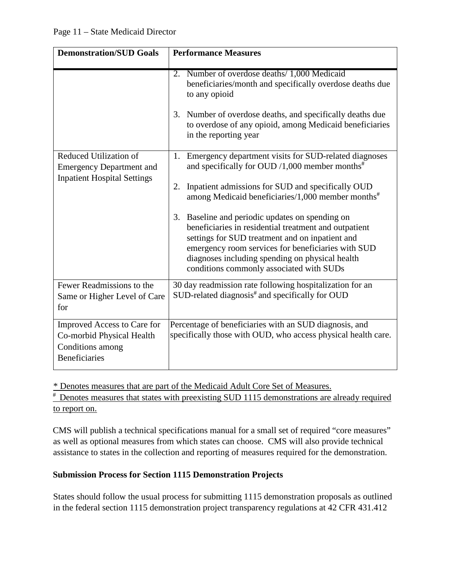| <b>Demonstration/SUD Goals</b>                                                                       | <b>Performance Measures</b>                                                                                                                                                                                                                                                                                                                                                                                                                                                                                                                                            |
|------------------------------------------------------------------------------------------------------|------------------------------------------------------------------------------------------------------------------------------------------------------------------------------------------------------------------------------------------------------------------------------------------------------------------------------------------------------------------------------------------------------------------------------------------------------------------------------------------------------------------------------------------------------------------------|
|                                                                                                      | 2. Number of overdose deaths/ 1,000 Medicaid<br>beneficiaries/month and specifically overdose deaths due<br>to any opioid<br>Number of overdose deaths, and specifically deaths due<br>3.<br>to overdose of any opioid, among Medicaid beneficiaries<br>in the reporting year                                                                                                                                                                                                                                                                                          |
| Reduced Utilization of<br><b>Emergency Department and</b><br><b>Inpatient Hospital Settings</b>      | 1. Emergency department visits for SUD-related diagnoses<br>and specifically for OUD /1,000 member months <sup>#</sup><br>Inpatient admissions for SUD and specifically OUD<br>2.<br>among Medicaid beneficiaries/1,000 member months <sup>#</sup><br>3. Baseline and periodic updates on spending on<br>beneficiaries in residential treatment and outpatient<br>settings for SUD treatment and on inpatient and<br>emergency room services for beneficiaries with SUD<br>diagnoses including spending on physical health<br>conditions commonly associated with SUDs |
| Fewer Readmissions to the<br>Same or Higher Level of Care<br>for                                     | 30 day readmission rate following hospitalization for an<br>SUD-related diagnosis <sup>#</sup> and specifically for OUD                                                                                                                                                                                                                                                                                                                                                                                                                                                |
| Improved Access to Care for<br>Co-morbid Physical Health<br>Conditions among<br><b>Beneficiaries</b> | Percentage of beneficiaries with an SUD diagnosis, and<br>specifically those with OUD, who access physical health care.                                                                                                                                                                                                                                                                                                                                                                                                                                                |

\* Denotes measures that are part of the [Medicaid Adult Core Set of Measures.](https://www.medicaid.gov/medicaid/quality-of-care/performance-measurement/adult-core-set/index.html)

 $*$  Denotes measures that states with preexisting SUD 1115 demonstrations are already required to report on.

CMS will publish a technical specifications manual for a small set of required "core measures" as well as optional measures from which states can choose. CMS will also provide technical assistance to states in the collection and reporting of measures required for the demonstration.

## **Submission Process for Section 1115 Demonstration Projects**

States should follow the usual process for submitting 1115 demonstration proposals as outlined in the federal section 1115 demonstration project transparency regulations at 42 CFR 431.412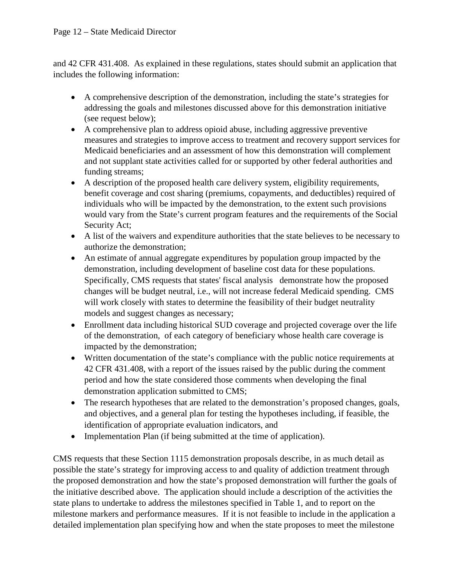and 42 CFR 431.408. As explained in these regulations, states should submit an application that includes the following information:

- A comprehensive description of the demonstration, including the state's strategies for addressing the goals and milestones discussed above for this demonstration initiative (see request below);
- A comprehensive plan to address opioid abuse, including aggressive preventive measures and strategies to improve access to treatment and recovery support services for Medicaid beneficiaries and an assessment of how this demonstration will complement and not supplant state activities called for or supported by other federal authorities and funding streams;
- A description of the proposed health care delivery system, eligibility requirements, benefit coverage and cost sharing (premiums, copayments, and deductibles) required of individuals who will be impacted by the demonstration, to the extent such provisions would vary from the State's current program features and the requirements of the Social Security Act;
- A list of the waivers and expenditure authorities that the state believes to be necessary to authorize the demonstration;
- An estimate of annual aggregate expenditures by population group impacted by the demonstration, including development of baseline cost data for these populations. Specifically, CMS requests that states' fiscal analysis demonstrate how the proposed changes will be budget neutral, i.e., will not increase federal Medicaid spending. CMS will work closely with states to determine the feasibility of their budget neutrality models and suggest changes as necessary;
- Enrollment data including historical SUD coverage and projected coverage over the life of the demonstration, of each category of beneficiary whose health care coverage is impacted by the demonstration;
- Written documentation of the state's compliance with the public notice requirements at 42 CFR 431.408, with a report of the issues raised by the public during the comment period and how the state considered those comments when developing the final demonstration application submitted to CMS;
- The research hypotheses that are related to the demonstration's proposed changes, goals, and objectives, and a general plan for testing the hypotheses including, if feasible, the identification of appropriate evaluation indicators, and
- Implementation Plan (if being submitted at the time of application).

CMS requests that these Section 1115 demonstration proposals describe, in as much detail as possible the state's strategy for improving access to and quality of addiction treatment through the proposed demonstration and how the state's proposed demonstration will further the goals of the initiative described above. The application should include a description of the activities the state plans to undertake to address the milestones specified in Table 1, and to report on the milestone markers and performance measures. If it is not feasible to include in the application a detailed implementation plan specifying how and when the state proposes to meet the milestone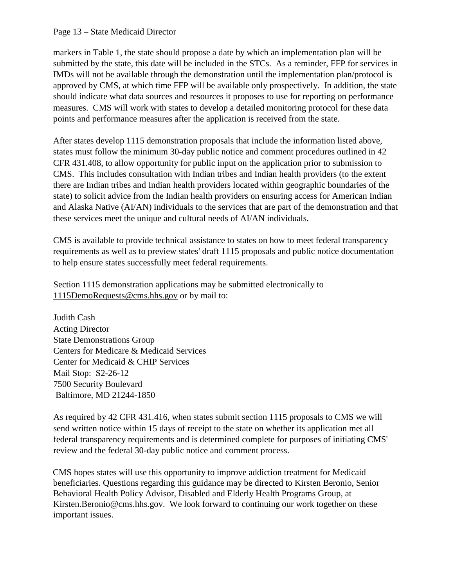#### Page 13 – State Medicaid Director

markers in Table 1, the state should propose a date by which an implementation plan will be submitted by the state, this date will be included in the STCs. As a reminder, FFP for services in IMDs will not be available through the demonstration until the implementation plan/protocol is approved by CMS, at which time FFP will be available only prospectively. In addition, the state should indicate what data sources and resources it proposes to use for reporting on performance measures. CMS will work with states to develop a detailed monitoring protocol for these data points and performance measures after the application is received from the state.

After states develop 1115 demonstration proposals that include the information listed above, states must follow the minimum 30-day public notice and comment procedures outlined in 42 CFR 431.408, to allow opportunity for public input on the application prior to submission to CMS. This includes consultation with Indian tribes and Indian health providers (to the extent there are Indian tribes and Indian health providers located within geographic boundaries of the state) to solicit advice from the Indian health providers on ensuring access for American Indian and Alaska Native (AI/AN) individuals to the services that are part of the demonstration and that these services meet the unique and cultural needs of AI/AN individuals.

CMS is available to provide technical assistance to states on how to meet federal transparency requirements as well as to preview states' draft 1115 proposals and public notice documentation to help ensure states successfully meet federal requirements.

Section 1115 demonstration applications may be submitted electronically to 1115DemoRequests@cms.hhs.gov or by mail to:

Judith Cash Acting Director State Demonstrations Group Centers for Medicare & Medicaid Services Center for Medicaid & CHIP Services Mail Stop: S2-26-12 7500 Security Boulevard Baltimore, MD 21244-1850

As required by 42 CFR 431.416, when states submit section 1115 proposals to CMS we will send written notice within 15 days of receipt to the state on whether its application met all federal transparency requirements and is determined complete for purposes of initiating CMS' review and the federal 30-day public notice and comment process.

CMS hopes states will use this opportunity to improve addiction treatment for Medicaid beneficiaries. Questions regarding this guidance may be directed to Kirsten Beronio, Senior Behavioral Health Policy Advisor, Disabled and Elderly Health Programs Group, at Kirsten.Beronio@cms.hhs.gov. We look forward to continuing our work together on these important issues.